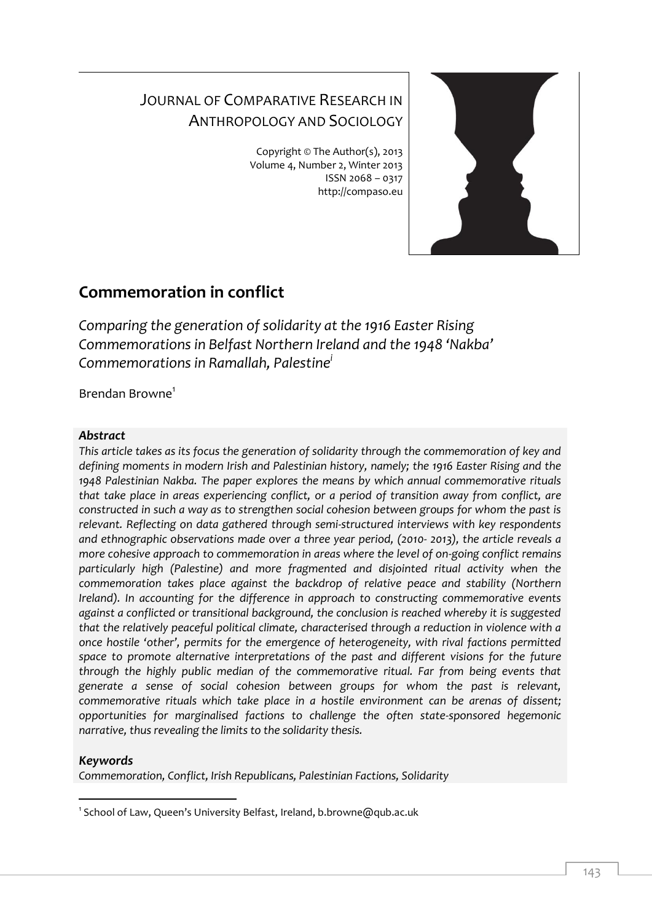# JOURNAL OF COMPARATIVE RESEARCH IN ANTHROPOLOGY AND SOCIOLOGY

Copyright © The Author(s), 2013 Volume 4, Number 2, Winter 2013 ISSN 2068 – 0317 http://compaso.eu



## **Commemoration in conflict**

*Comparing the generation of solidarity at the 1916 Easter Rising Commemorations in Belfast Northern Ireland and the 1948 'Nakba' Commemorations in Ramallah, Palestine<sup>i</sup>*

Brendan Browne<sup>1</sup>

#### *Abstract*

*This article takes as its focus the generation of solidarity through the commemoration of key and defining moments in modern Irish and Palestinian history, namely; the 1916 Easter Rising and the 1948 Palestinian Nakba. The paper explores the means by which annual commemorative rituals that take place in areas experiencing conflict, or a period of transition away from conflict, are constructed in such a way as to strengthen social cohesion between groups for whom the past is relevant. Reflecting on data gathered through semi-structured interviews with key respondents and ethnographic observations made over a three year period, (2010- 2013), the article reveals a more cohesive approach to commemoration in areas where the level of on-going conflict remains particularly high (Palestine) and more fragmented and disjointed ritual activity when the commemoration takes place against the backdrop of relative peace and stability (Northern Ireland). In accounting for the difference in approach to constructing commemorative events against a conflicted or transitional background, the conclusion is reached whereby it is suggested that the relatively peaceful political climate, characterised through a reduction in violence with a once hostile 'other', permits for the emergence of heterogeneity, with rival factions permitted space to promote alternative interpretations of the past and different visions for the future through the highly public median of the commemorative ritual. Far from being events that generate a sense of social cohesion between groups for whom the past is relevant, commemorative rituals which take place in a hostile environment can be arenas of dissent; opportunities for marginalised factions to challenge the often state-sponsored hegemonic narrative, thus revealing the limits to the solidarity thesis.*

### *Keywords*

*Commemoration, Conflict, Irish Republicans, Palestinian Factions, Solidarity*

<sup>-</sup>1 School of Law, Queen's University Belfast, Ireland, b.browne@qub.ac.uk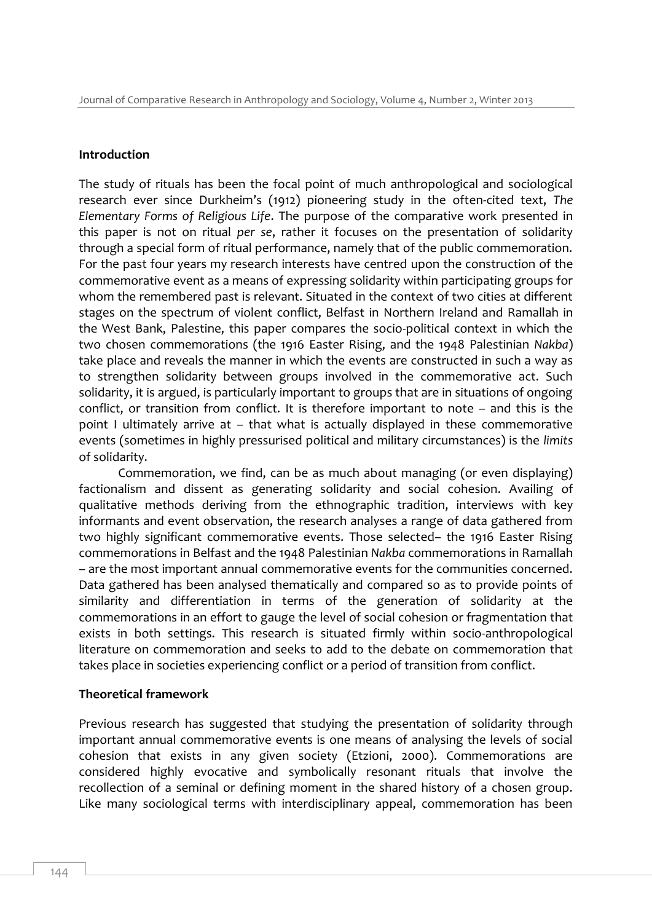#### **Introduction**

The study of rituals has been the focal point of much anthropological and sociological research ever since Durkheim's (1912) pioneering study in the often-cited text, *The Elementary Forms of Religious Life*. The purpose of the comparative work presented in this paper is not on ritual *per se*, rather it focuses on the presentation of solidarity through a special form of ritual performance, namely that of the public commemoration. For the past four years my research interests have centred upon the construction of the commemorative event as a means of expressing solidarity within participating groups for whom the remembered past is relevant. Situated in the context of two cities at different stages on the spectrum of violent conflict, Belfast in Northern Ireland and Ramallah in the West Bank, Palestine, this paper compares the socio-political context in which the two chosen commemorations (the 1916 Easter Rising, and the 1948 Palestinian *Nakba*) take place and reveals the manner in which the events are constructed in such a way as to strengthen solidarity between groups involved in the commemorative act. Such solidarity, it is argued, is particularly important to groups that are in situations of ongoing conflict, or transition from conflict. It is therefore important to note – and this is the point I ultimately arrive at – that what is actually displayed in these commemorative events (sometimes in highly pressurised political and military circumstances) is the *limits*  of solidarity.

Commemoration, we find, can be as much about managing (or even displaying) factionalism and dissent as generating solidarity and social cohesion. Availing of qualitative methods deriving from the ethnographic tradition, interviews with key informants and event observation, the research analyses a range of data gathered from two highly significant commemorative events. Those selected– the 1916 Easter Rising commemorations in Belfast and the 1948 Palestinian *Nakba* commemorations in Ramallah – are the most important annual commemorative events for the communities concerned. Data gathered has been analysed thematically and compared so as to provide points of similarity and differentiation in terms of the generation of solidarity at the commemorations in an effort to gauge the level of social cohesion or fragmentation that exists in both settings. This research is situated firmly within socio-anthropological literature on commemoration and seeks to add to the debate on commemoration that takes place in societies experiencing conflict or a period of transition from conflict.

#### **Theoretical framework**

Previous research has suggested that studying the presentation of solidarity through important annual commemorative events is one means of analysing the levels of social cohesion that exists in any given society (Etzioni, 2000). Commemorations are considered highly evocative and symbolically resonant rituals that involve the recollection of a seminal or defining moment in the shared history of a chosen group. Like many sociological terms with interdisciplinary appeal, commemoration has been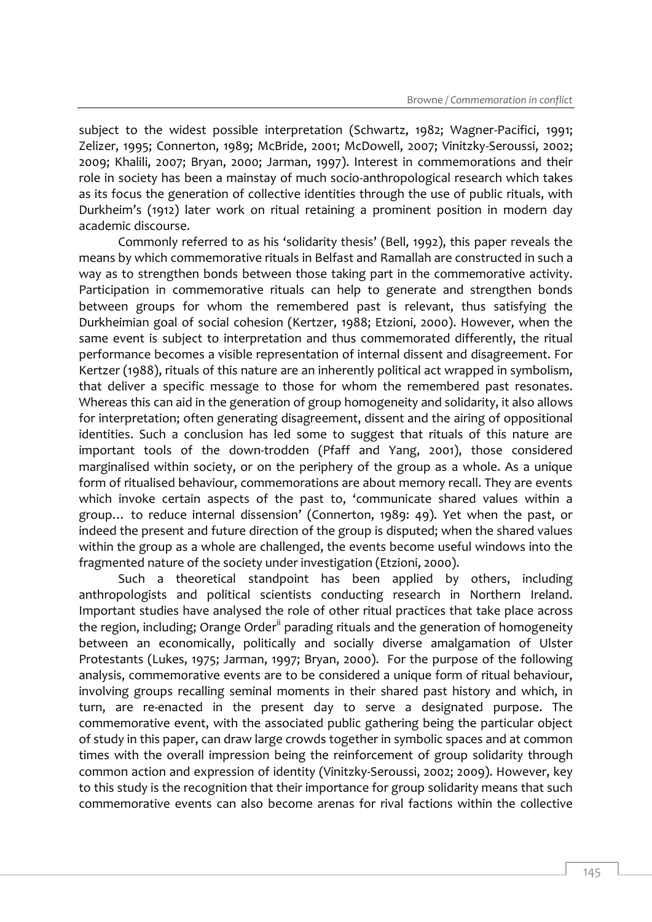subject to the widest possible interpretation (Schwartz, 1982; Wagner-Pacifici, 1991; Zelizer, 1995; Connerton, 1989; McBride, 2001; McDowell, 2007; Vinitzky-Seroussi, 2002; 2009; Khalili, 2007; Bryan, 2000; Jarman, 1997). Interest in commemorations and their role in society has been a mainstay of much socio-anthropological research which takes as its focus the generation of collective identities through the use of public rituals, with Durkheim's (1912) later work on ritual retaining a prominent position in modern day academic discourse.

Commonly referred to as his 'solidarity thesis' (Bell, 1992), this paper reveals the means by which commemorative rituals in Belfast and Ramallah are constructed in such a way as to strengthen bonds between those taking part in the commemorative activity. Participation in commemorative rituals can help to generate and strengthen bonds between groups for whom the remembered past is relevant, thus satisfying the Durkheimian goal of social cohesion (Kertzer, 1988; Etzioni, 2000). However, when the same event is subject to interpretation and thus commemorated differently, the ritual performance becomes a visible representation of internal dissent and disagreement. For Kertzer (1988), rituals of this nature are an inherently political act wrapped in symbolism, that deliver a specific message to those for whom the remembered past resonates. Whereas this can aid in the generation of group homogeneity and solidarity, it also allows for interpretation; often generating disagreement, dissent and the airing of oppositional identities. Such a conclusion has led some to suggest that rituals of this nature are important tools of the down-trodden (Pfaff and Yang, 2001), those considered marginalised within society, or on the periphery of the group as a whole. As a unique form of ritualised behaviour, commemorations are about memory recall. They are events which invoke certain aspects of the past to, 'communicate shared values within a group… to reduce internal dissension' (Connerton, 1989: 49). Yet when the past, or indeed the present and future direction of the group is disputed; when the shared values within the group as a whole are challenged, the events become useful windows into the fragmented nature of the society under investigation (Etzioni, 2000).

Such a theoretical standpoint has been applied by others, including anthropologists and political scientists conducting research in Northern Ireland. Important studies have analysed the role of other ritual practices that take place across the region, including; Orange Order<sup>ii</sup> parading rituals and the generation of homogeneity between an economically, politically and socially diverse amalgamation of Ulster Protestants (Lukes, 1975; Jarman, 1997; Bryan, 2000). For the purpose of the following analysis, commemorative events are to be considered a unique form of ritual behaviour, involving groups recalling seminal moments in their shared past history and which, in turn, are re-enacted in the present day to serve a designated purpose. The commemorative event, with the associated public gathering being the particular object of study in this paper, can draw large crowds together in symbolic spaces and at common times with the overall impression being the reinforcement of group solidarity through common action and expression of identity (Vinitzky-Seroussi, 2002; 2009). However, key to this study is the recognition that their importance for group solidarity means that such commemorative events can also become arenas for rival factions within the collective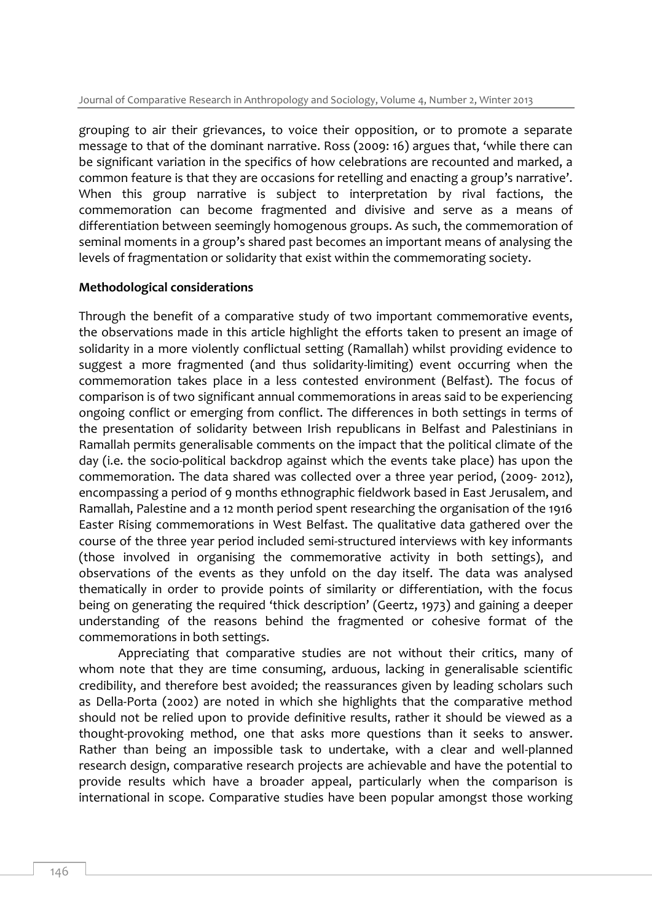grouping to air their grievances, to voice their opposition, or to promote a separate message to that of the dominant narrative. Ross (2009: 16) argues that, 'while there can be significant variation in the specifics of how celebrations are recounted and marked, a common feature is that they are occasions for retelling and enacting a group's narrative'. When this group narrative is subject to interpretation by rival factions, the commemoration can become fragmented and divisive and serve as a means of differentiation between seemingly homogenous groups. As such, the commemoration of seminal moments in a group's shared past becomes an important means of analysing the levels of fragmentation or solidarity that exist within the commemorating society.

#### **Methodological considerations**

Through the benefit of a comparative study of two important commemorative events, the observations made in this article highlight the efforts taken to present an image of solidarity in a more violently conflictual setting (Ramallah) whilst providing evidence to suggest a more fragmented (and thus solidarity-limiting) event occurring when the commemoration takes place in a less contested environment (Belfast). The focus of comparison is of two significant annual commemorations in areas said to be experiencing ongoing conflict or emerging from conflict. The differences in both settings in terms of the presentation of solidarity between Irish republicans in Belfast and Palestinians in Ramallah permits generalisable comments on the impact that the political climate of the day (i.e. the socio-political backdrop against which the events take place) has upon the commemoration. The data shared was collected over a three year period, (2009- 2012), encompassing a period of 9 months ethnographic fieldwork based in East Jerusalem, and Ramallah, Palestine and a 12 month period spent researching the organisation of the 1916 Easter Rising commemorations in West Belfast. The qualitative data gathered over the course of the three year period included semi-structured interviews with key informants (those involved in organising the commemorative activity in both settings), and observations of the events as they unfold on the day itself. The data was analysed thematically in order to provide points of similarity or differentiation, with the focus being on generating the required 'thick description' (Geertz, 1973) and gaining a deeper understanding of the reasons behind the fragmented or cohesive format of the commemorations in both settings.

Appreciating that comparative studies are not without their critics, many of whom note that they are time consuming, arduous, lacking in generalisable scientific credibility, and therefore best avoided; the reassurances given by leading scholars such as Della-Porta (2002) are noted in which she highlights that the comparative method should not be relied upon to provide definitive results, rather it should be viewed as a thought-provoking method, one that asks more questions than it seeks to answer. Rather than being an impossible task to undertake, with a clear and well-planned research design, comparative research projects are achievable and have the potential to provide results which have a broader appeal, particularly when the comparison is international in scope. Comparative studies have been popular amongst those working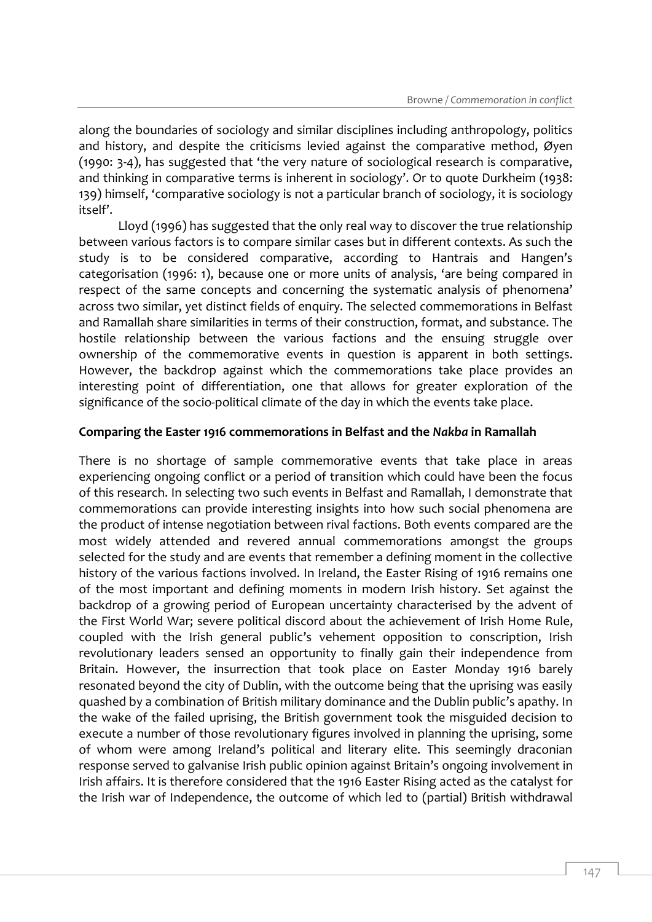along the boundaries of sociology and similar disciplines including anthropology, politics and history, and despite the criticisms levied against the comparative method, Øyen (1990: 3-4), has suggested that 'the very nature of sociological research is comparative, and thinking in comparative terms is inherent in sociology'. Or to quote Durkheim (1938: 139) himself, 'comparative sociology is not a particular branch of sociology, it is sociology itself'.

Lloyd (1996) has suggested that the only real way to discover the true relationship between various factors is to compare similar cases but in different contexts. As such the study is to be considered comparative, according to Hantrais and Hangen's categorisation (1996: 1), because one or more units of analysis, 'are being compared in respect of the same concepts and concerning the systematic analysis of phenomena' across two similar, yet distinct fields of enquiry. The selected commemorations in Belfast and Ramallah share similarities in terms of their construction, format, and substance. The hostile relationship between the various factions and the ensuing struggle over ownership of the commemorative events in question is apparent in both settings. However, the backdrop against which the commemorations take place provides an interesting point of differentiation, one that allows for greater exploration of the significance of the socio-political climate of the day in which the events take place.

#### **Comparing the Easter 1916 commemorations in Belfast and the** *Nakba* **in Ramallah**

There is no shortage of sample commemorative events that take place in areas experiencing ongoing conflict or a period of transition which could have been the focus of this research. In selecting two such events in Belfast and Ramallah, I demonstrate that commemorations can provide interesting insights into how such social phenomena are the product of intense negotiation between rival factions. Both events compared are the most widely attended and revered annual commemorations amongst the groups selected for the study and are events that remember a defining moment in the collective history of the various factions involved. In Ireland, the Easter Rising of 1916 remains one of the most important and defining moments in modern Irish history. Set against the backdrop of a growing period of European uncertainty characterised by the advent of the First World War; severe political discord about the achievement of Irish Home Rule, coupled with the Irish general public's vehement opposition to conscription, Irish revolutionary leaders sensed an opportunity to finally gain their independence from Britain. However, the insurrection that took place on Easter Monday 1916 barely resonated beyond the city of Dublin, with the outcome being that the uprising was easily quashed by a combination of British military dominance and the Dublin public's apathy. In the wake of the failed uprising, the British government took the misguided decision to execute a number of those revolutionary figures involved in planning the uprising, some of whom were among Ireland's political and literary elite. This seemingly draconian response served to galvanise Irish public opinion against Britain's ongoing involvement in Irish affairs. It is therefore considered that the 1916 Easter Rising acted as the catalyst for the Irish war of Independence, the outcome of which led to (partial) British withdrawal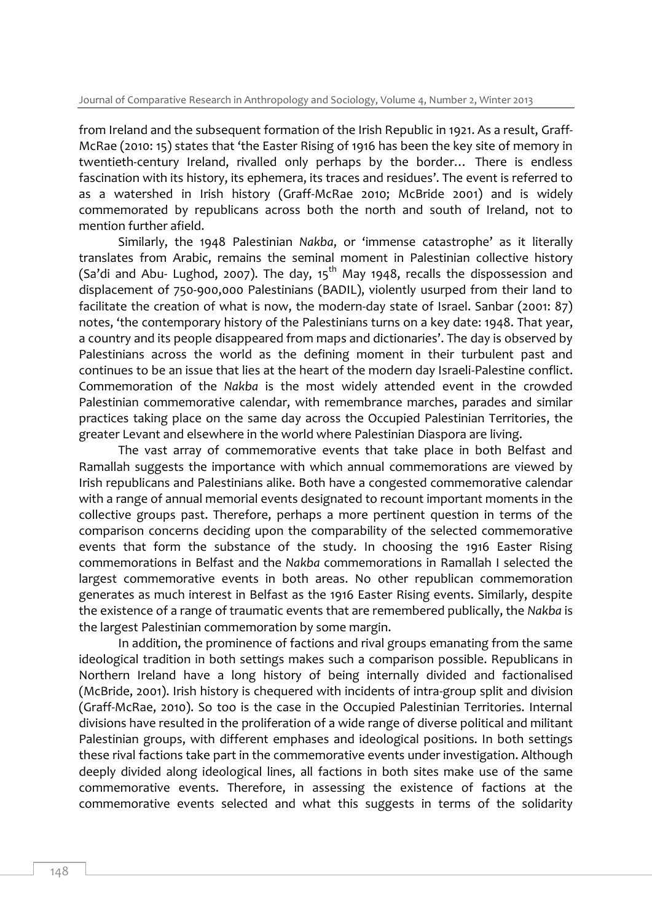from Ireland and the subsequent formation of the Irish Republic in 1921. As a result, Graff-McRae (2010: 15) states that 'the Easter Rising of 1916 has been the key site of memory in twentieth-century Ireland, rivalled only perhaps by the border… There is endless fascination with its history, its ephemera, its traces and residues'. The event is referred to as a watershed in Irish history (Graff-McRae 2010; McBride 2001) and is widely commemorated by republicans across both the north and south of Ireland, not to mention further afield.

Similarly, the 1948 Palestinian *Nakba*, or 'immense catastrophe' as it literally translates from Arabic, remains the seminal moment in Palestinian collective history (Sa'di and Abu- Lughod, 2007). The day,  $15<sup>th</sup>$  May 1948, recalls the dispossession and displacement of 750-900,000 Palestinians (BADIL), violently usurped from their land to facilitate the creation of what is now, the modern-day state of Israel. Sanbar (2001: 87) notes, 'the contemporary history of the Palestinians turns on a key date: 1948. That year, a country and its people disappeared from maps and dictionaries'. The day is observed by Palestinians across the world as the defining moment in their turbulent past and continues to be an issue that lies at the heart of the modern day Israeli-Palestine conflict. Commemoration of the *Nakba* is the most widely attended event in the crowded Palestinian commemorative calendar, with remembrance marches, parades and similar practices taking place on the same day across the Occupied Palestinian Territories, the greater Levant and elsewhere in the world where Palestinian Diaspora are living.

The vast array of commemorative events that take place in both Belfast and Ramallah suggests the importance with which annual commemorations are viewed by Irish republicans and Palestinians alike. Both have a congested commemorative calendar with a range of annual memorial events designated to recount important moments in the collective groups past. Therefore, perhaps a more pertinent question in terms of the comparison concerns deciding upon the comparability of the selected commemorative events that form the substance of the study. In choosing the 1916 Easter Rising commemorations in Belfast and the *Nakba* commemorations in Ramallah I selected the largest commemorative events in both areas. No other republican commemoration generates as much interest in Belfast as the 1916 Easter Rising events. Similarly, despite the existence of a range of traumatic events that are remembered publically, the *Nakba* is the largest Palestinian commemoration by some margin.

In addition, the prominence of factions and rival groups emanating from the same ideological tradition in both settings makes such a comparison possible. Republicans in Northern Ireland have a long history of being internally divided and factionalised (McBride, 2001). Irish history is chequered with incidents of intra-group split and division (Graff-McRae, 2010). So too is the case in the Occupied Palestinian Territories. Internal divisions have resulted in the proliferation of a wide range of diverse political and militant Palestinian groups, with different emphases and ideological positions. In both settings these rival factions take part in the commemorative events under investigation. Although deeply divided along ideological lines, all factions in both sites make use of the same commemorative events. Therefore, in assessing the existence of factions at the commemorative events selected and what this suggests in terms of the solidarity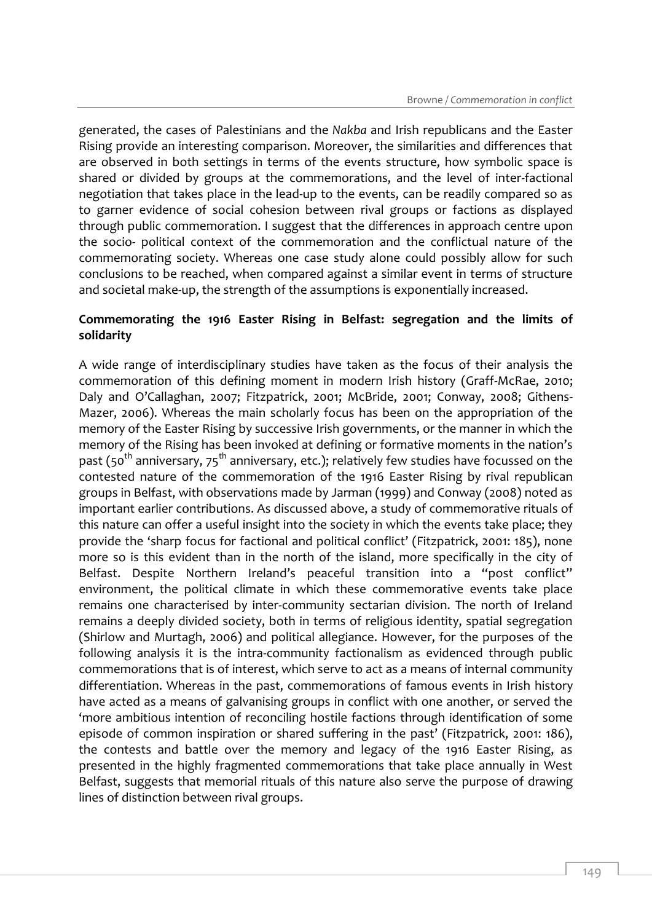generated, the cases of Palestinians and the *Nakba* and Irish republicans and the Easter Rising provide an interesting comparison. Moreover, the similarities and differences that are observed in both settings in terms of the events structure, how symbolic space is shared or divided by groups at the commemorations, and the level of inter-factional negotiation that takes place in the lead-up to the events, can be readily compared so as to garner evidence of social cohesion between rival groups or factions as displayed through public commemoration. I suggest that the differences in approach centre upon the socio- political context of the commemoration and the conflictual nature of the commemorating society. Whereas one case study alone could possibly allow for such conclusions to be reached, when compared against a similar event in terms of structure and societal make-up, the strength of the assumptions is exponentially increased.

#### **Commemorating the 1916 Easter Rising in Belfast: segregation and the limits of solidarity**

A wide range of interdisciplinary studies have taken as the focus of their analysis the commemoration of this defining moment in modern Irish history (Graff-McRae, 2010; Daly and O'Callaghan, 2007; Fitzpatrick, 2001; McBride, 2001; Conway, 2008; Githens-Mazer, 2006). Whereas the main scholarly focus has been on the appropriation of the memory of the Easter Rising by successive Irish governments, or the manner in which the memory of the Rising has been invoked at defining or formative moments in the nation's past (50<sup>th</sup> anniversary, 75<sup>th</sup> anniversary, etc.); relatively few studies have focussed on the contested nature of the commemoration of the 1916 Easter Rising by rival republican groups in Belfast, with observations made by Jarman (1999) and Conway (2008) noted as important earlier contributions. As discussed above, a study of commemorative rituals of this nature can offer a useful insight into the society in which the events take place; they provide the 'sharp focus for factional and political conflict' (Fitzpatrick, 2001: 185), none more so is this evident than in the north of the island, more specifically in the city of Belfast. Despite Northern Ireland's peaceful transition into a "post conflict" environment, the political climate in which these commemorative events take place remains one characterised by inter-community sectarian division. The north of Ireland remains a deeply divided society, both in terms of religious identity, spatial segregation (Shirlow and Murtagh, 2006) and political allegiance. However, for the purposes of the following analysis it is the intra-community factionalism as evidenced through public commemorations that is of interest, which serve to act as a means of internal community differentiation. Whereas in the past, commemorations of famous events in Irish history have acted as a means of galvanising groups in conflict with one another, or served the 'more ambitious intention of reconciling hostile factions through identification of some episode of common inspiration or shared suffering in the past' (Fitzpatrick, 2001: 186), the contests and battle over the memory and legacy of the 1916 Easter Rising, as presented in the highly fragmented commemorations that take place annually in West Belfast, suggests that memorial rituals of this nature also serve the purpose of drawing lines of distinction between rival groups.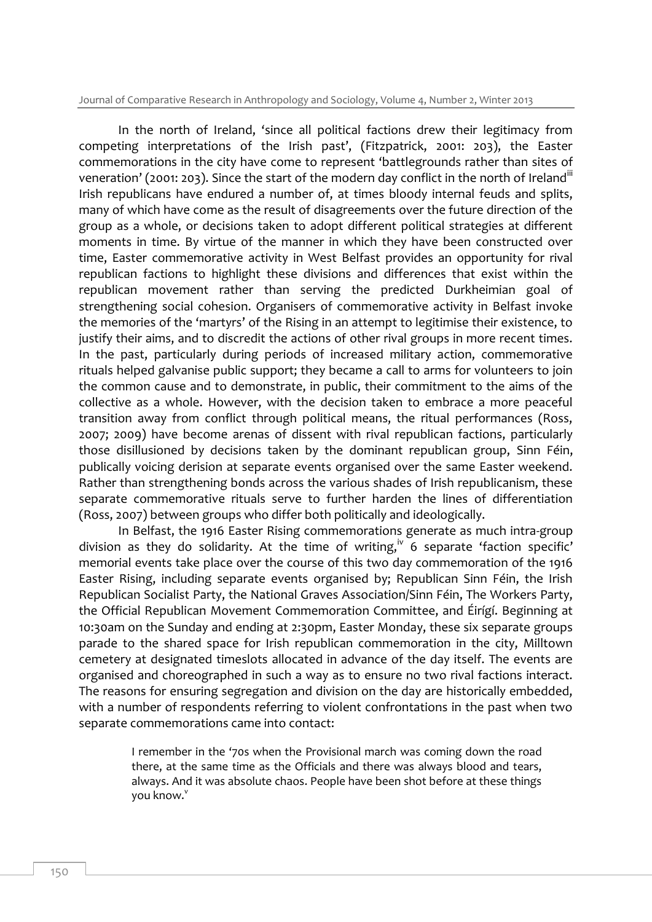Journal of Comparative Research in Anthropology and Sociology, Volume 4, Number 2, Winter 2013

In the north of Ireland, 'since all political factions drew their legitimacy from competing interpretations of the Irish past', (Fitzpatrick, 2001: 203), the Easter commemorations in the city have come to represent 'battlegrounds rather than sites of veneration' (2001: 203). Since the start of the modern day conflict in the north of Ireland<sup>iii</sup> Irish republicans have endured a number of, at times bloody internal feuds and splits, many of which have come as the result of disagreements over the future direction of the group as a whole, or decisions taken to adopt different political strategies at different moments in time. By virtue of the manner in which they have been constructed over time, Easter commemorative activity in West Belfast provides an opportunity for rival republican factions to highlight these divisions and differences that exist within the republican movement rather than serving the predicted Durkheimian goal of strengthening social cohesion. Organisers of commemorative activity in Belfast invoke the memories of the 'martyrs' of the Rising in an attempt to legitimise their existence, to justify their aims, and to discredit the actions of other rival groups in more recent times. In the past, particularly during periods of increased military action, commemorative rituals helped galvanise public support; they became a call to arms for volunteers to join the common cause and to demonstrate, in public, their commitment to the aims of the collective as a whole. However, with the decision taken to embrace a more peaceful transition away from conflict through political means, the ritual performances (Ross, 2007; 2009) have become arenas of dissent with rival republican factions, particularly those disillusioned by decisions taken by the dominant republican group, Sinn Féin, publically voicing derision at separate events organised over the same Easter weekend. Rather than strengthening bonds across the various shades of Irish republicanism, these separate commemorative rituals serve to further harden the lines of differentiation (Ross, 2007) between groups who differ both politically and ideologically.

In Belfast, the 1916 Easter Rising commemorations generate as much intra-group division as they do solidarity. At the time of writing,<sup>iv</sup> 6 separate 'faction specific' memorial events take place over the course of this two day commemoration of the 1916 Easter Rising, including separate events organised by; Republican Sinn Féin, the Irish Republican Socialist Party, the National Graves Association/Sinn Féin, The Workers Party, the Official Republican Movement Commemoration Committee, and Éirígí. Beginning at 10:30am on the Sunday and ending at 2:30pm, Easter Monday, these six separate groups parade to the shared space for Irish republican commemoration in the city, Milltown cemetery at designated timeslots allocated in advance of the day itself. The events are organised and choreographed in such a way as to ensure no two rival factions interact. The reasons for ensuring segregation and division on the day are historically embedded, with a number of respondents referring to violent confrontations in the past when two separate commemorations came into contact:

> I remember in the '70s when the Provisional march was coming down the road there, at the same time as the Officials and there was always blood and tears, always. And it was absolute chaos. People have been shot before at these things you know.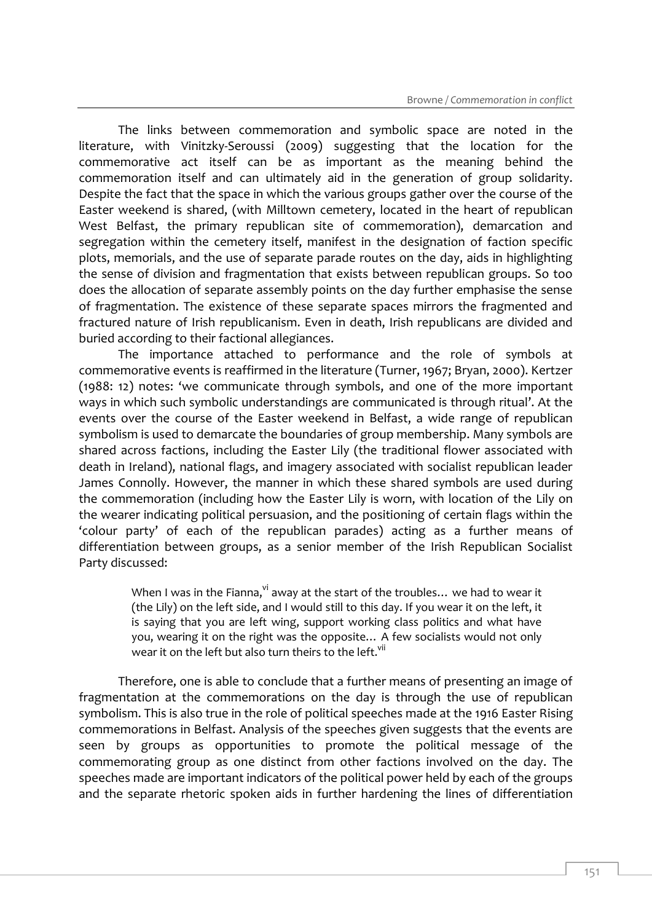The links between commemoration and symbolic space are noted in the literature, with Vinitzky-Seroussi (2009) suggesting that the location for the commemorative act itself can be as important as the meaning behind the commemoration itself and can ultimately aid in the generation of group solidarity. Despite the fact that the space in which the various groups gather over the course of the Easter weekend is shared, (with Milltown cemetery, located in the heart of republican West Belfast, the primary republican site of commemoration), demarcation and segregation within the cemetery itself, manifest in the designation of faction specific plots, memorials, and the use of separate parade routes on the day, aids in highlighting the sense of division and fragmentation that exists between republican groups. So too does the allocation of separate assembly points on the day further emphasise the sense of fragmentation. The existence of these separate spaces mirrors the fragmented and fractured nature of Irish republicanism. Even in death, Irish republicans are divided and buried according to their factional allegiances.

The importance attached to performance and the role of symbols at commemorative events is reaffirmed in the literature (Turner, 1967; Bryan, 2000). Kertzer (1988: 12) notes: 'we communicate through symbols, and one of the more important ways in which such symbolic understandings are communicated is through ritual'. At the events over the course of the Easter weekend in Belfast, a wide range of republican symbolism is used to demarcate the boundaries of group membership. Many symbols are shared across factions, including the Easter Lily (the traditional flower associated with death in Ireland), national flags, and imagery associated with socialist republican leader James Connolly. However, the manner in which these shared symbols are used during the commemoration (including how the Easter Lily is worn, with location of the Lily on the wearer indicating political persuasion, and the positioning of certain flags within the 'colour party' of each of the republican parades) acting as a further means of differentiation between groups, as a senior member of the Irish Republican Socialist Party discussed:

> When I was in the Fianna,  $\frac{v}{x}$  away at the start of the troubles... we had to wear it (the Lily) on the left side, and I would still to this day. If you wear it on the left, it is saying that you are left wing, support working class politics and what have you, wearing it on the right was the opposite… A few socialists would not only wear it on the left but also turn theirs to the left.<sup>vii</sup>

Therefore, one is able to conclude that a further means of presenting an image of fragmentation at the commemorations on the day is through the use of republican symbolism. This is also true in the role of political speeches made at the 1916 Easter Rising commemorations in Belfast. Analysis of the speeches given suggests that the events are seen by groups as opportunities to promote the political message of the commemorating group as one distinct from other factions involved on the day. The speeches made are important indicators of the political power held by each of the groups and the separate rhetoric spoken aids in further hardening the lines of differentiation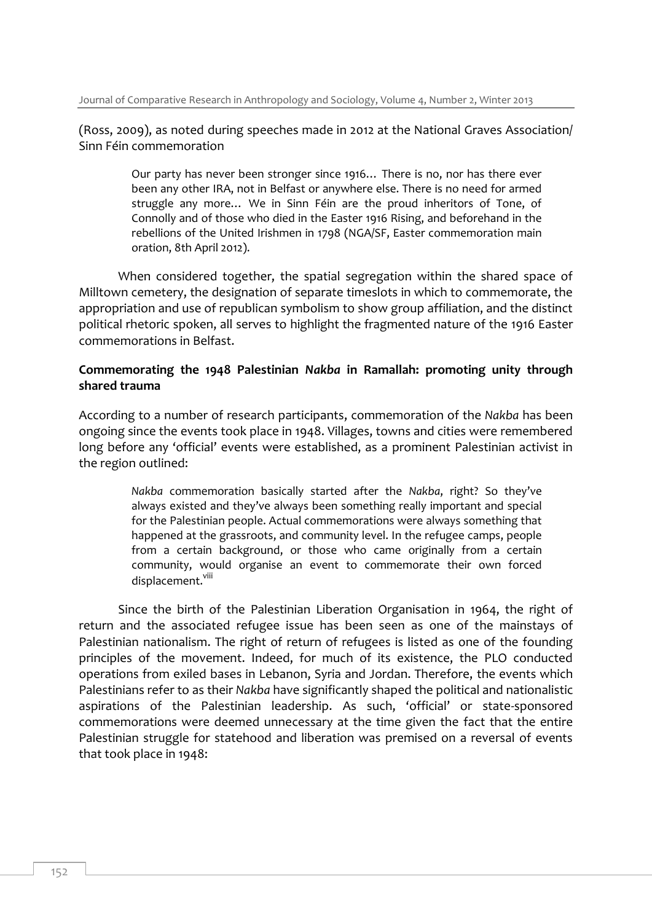(Ross, 2009), as noted during speeches made in 2012 at the National Graves Association/ Sinn Féin commemoration

> Our party has never been stronger since 1916… There is no, nor has there ever been any other IRA, not in Belfast or anywhere else. There is no need for armed struggle any more… We in Sinn Féin are the proud inheritors of Tone, of Connolly and of those who died in the Easter 1916 Rising, and beforehand in the rebellions of the United Irishmen in 1798 (NGA/SF, Easter commemoration main oration, 8th April 2012).

When considered together, the spatial segregation within the shared space of Milltown cemetery, the designation of separate timeslots in which to commemorate, the appropriation and use of republican symbolism to show group affiliation, and the distinct political rhetoric spoken, all serves to highlight the fragmented nature of the 1916 Easter commemorations in Belfast.

#### **Commemorating the 1948 Palestinian** *Nakba* **in Ramallah: promoting unity through shared trauma**

According to a number of research participants, commemoration of the *Nakba* has been ongoing since the events took place in 1948. Villages, towns and cities were remembered long before any 'official' events were established, as a prominent Palestinian activist in the region outlined:

> *Nakba* commemoration basically started after the *Nakba*, right? So they've always existed and they've always been something really important and special for the Palestinian people. Actual commemorations were always something that happened at the grassroots, and community level. In the refugee camps, people from a certain background, or those who came originally from a certain community, would organise an event to commemorate their own forced displacement.<sup>viii</sup>

Since the birth of the Palestinian Liberation Organisation in 1964, the right of return and the associated refugee issue has been seen as one of the mainstays of Palestinian nationalism. The right of return of refugees is listed as one of the founding principles of the movement. Indeed, for much of its existence, the PLO conducted operations from exiled bases in Lebanon, Syria and Jordan. Therefore, the events which Palestinians refer to as their *Nakba* have significantly shaped the political and nationalistic aspirations of the Palestinian leadership. As such, 'official' or state-sponsored commemorations were deemed unnecessary at the time given the fact that the entire Palestinian struggle for statehood and liberation was premised on a reversal of events that took place in 1948: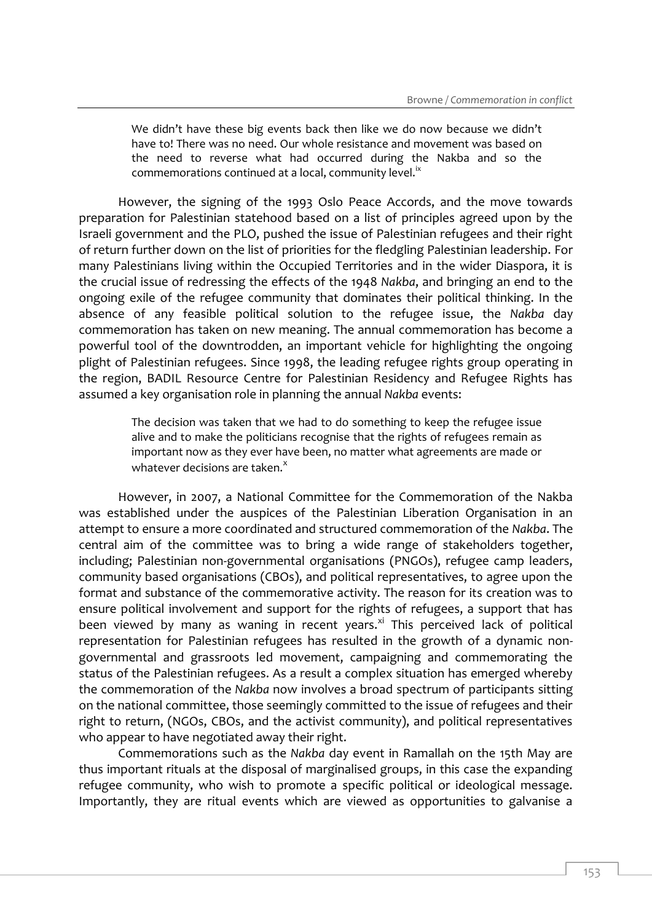We didn't have these big events back then like we do now because we didn't have to! There was no need. Our whole resistance and movement was based on the need to reverse what had occurred during the Nakba and so the commemorations continued at a local, community level. $i^x$ 

However, the signing of the 1993 Oslo Peace Accords, and the move towards preparation for Palestinian statehood based on a list of principles agreed upon by the Israeli government and the PLO, pushed the issue of Palestinian refugees and their right of return further down on the list of priorities for the fledgling Palestinian leadership. For many Palestinians living within the Occupied Territories and in the wider Diaspora, it is the crucial issue of redressing the effects of the 1948 *Nakba*, and bringing an end to the ongoing exile of the refugee community that dominates their political thinking. In the absence of any feasible political solution to the refugee issue, the *Nakba* day commemoration has taken on new meaning. The annual commemoration has become a powerful tool of the downtrodden, an important vehicle for highlighting the ongoing plight of Palestinian refugees. Since 1998, the leading refugee rights group operating in the region, BADIL Resource Centre for Palestinian Residency and Refugee Rights has assumed a key organisation role in planning the annual *Nakba* events:

> The decision was taken that we had to do something to keep the refugee issue alive and to make the politicians recognise that the rights of refugees remain as important now as they ever have been, no matter what agreements are made or whatever decisions are taken. $^{x}$

However, in 2007, a National Committee for the Commemoration of the Nakba was established under the auspices of the Palestinian Liberation Organisation in an attempt to ensure a more coordinated and structured commemoration of the *Nakba*. The central aim of the committee was to bring a wide range of stakeholders together, including; Palestinian non-governmental organisations (PNGOs), refugee camp leaders, community based organisations (CBOs), and political representatives, to agree upon the format and substance of the commemorative activity. The reason for its creation was to ensure political involvement and support for the rights of refugees, a support that has been viewed by many as waning in recent years.<sup>xi</sup> This perceived lack of political representation for Palestinian refugees has resulted in the growth of a dynamic nongovernmental and grassroots led movement, campaigning and commemorating the status of the Palestinian refugees. As a result a complex situation has emerged whereby the commemoration of the *Nakba* now involves a broad spectrum of participants sitting on the national committee, those seemingly committed to the issue of refugees and their right to return, (NGOs, CBOs, and the activist community), and political representatives who appear to have negotiated away their right.

Commemorations such as the *Nakba* day event in Ramallah on the 15th May are thus important rituals at the disposal of marginalised groups, in this case the expanding refugee community, who wish to promote a specific political or ideological message. Importantly, they are ritual events which are viewed as opportunities to galvanise a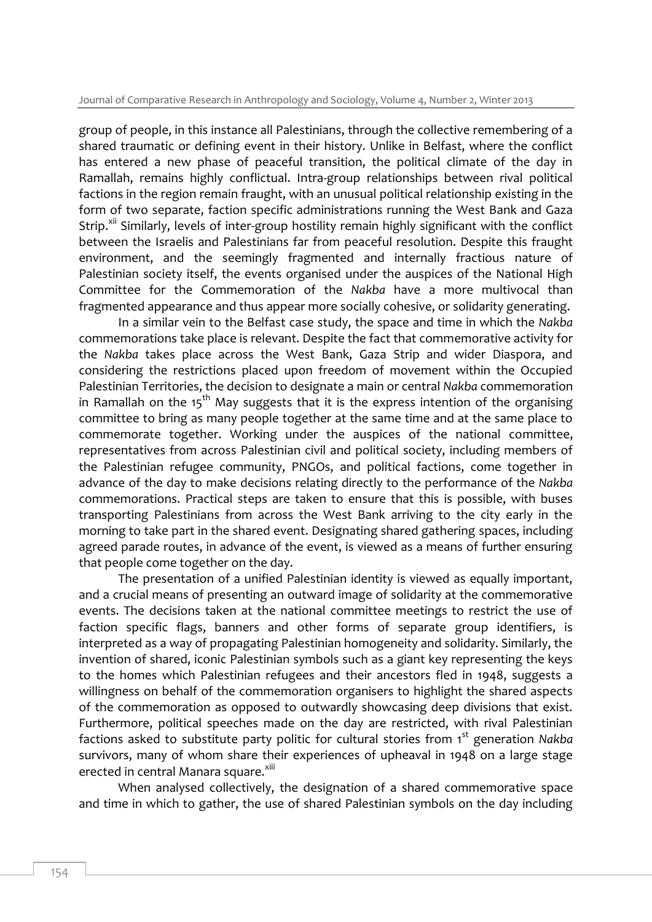group of people, in this instance all Palestinians, through the collective remembering of a shared traumatic or defining event in their history. Unlike in Belfast, where the conflict has entered a new phase of peaceful transition, the political climate of the day in Ramallah, remains highly conflictual. Intra-group relationships between rival political factions in the region remain fraught, with an unusual political relationship existing in the form of two separate, faction specific administrations running the West Bank and Gaza Strip.<sup>xii</sup> Similarly, levels of inter-group hostility remain highly significant with the conflict between the Israelis and Palestinians far from peaceful resolution. Despite this fraught environment, and the seemingly fragmented and internally fractious nature of Palestinian society itself, the events organised under the auspices of the National High Committee for the Commemoration of the *Nakba* have a more multivocal than fragmented appearance and thus appear more socially cohesive, or solidarity generating.

In a similar vein to the Belfast case study, the space and time in which the *Nakba*  commemorations take place is relevant. Despite the fact that commemorative activity for the *Nakba* takes place across the West Bank, Gaza Strip and wider Diaspora, and considering the restrictions placed upon freedom of movement within the Occupied Palestinian Territories, the decision to designate a main or central *Nakba* commemoration in Ramallah on the 15<sup>th</sup> May suggests that it is the express intention of the organising committee to bring as many people together at the same time and at the same place to commemorate together. Working under the auspices of the national committee, representatives from across Palestinian civil and political society, including members of the Palestinian refugee community, PNGOs, and political factions, come together in advance of the day to make decisions relating directly to the performance of the *Nakba*  commemorations. Practical steps are taken to ensure that this is possible, with buses transporting Palestinians from across the West Bank arriving to the city early in the morning to take part in the shared event. Designating shared gathering spaces, including agreed parade routes, in advance of the event, is viewed as a means of further ensuring that people come together on the day.

The presentation of a unified Palestinian identity is viewed as equally important, and a crucial means of presenting an outward image of solidarity at the commemorative events. The decisions taken at the national committee meetings to restrict the use of faction specific flags, banners and other forms of separate group identifiers, is interpreted as a way of propagating Palestinian homogeneity and solidarity. Similarly, the invention of shared, iconic Palestinian symbols such as a giant key representing the keys to the homes which Palestinian refugees and their ancestors fled in 1948, suggests a willingness on behalf of the commemoration organisers to highlight the shared aspects of the commemoration as opposed to outwardly showcasing deep divisions that exist. Furthermore, political speeches made on the day are restricted, with rival Palestinian factions asked to substitute party politic for cultural stories from 1<sup>st</sup> generation *Nakba* survivors, many of whom share their experiences of upheaval in 1948 on a large stage erected in central Manara square.<sup>xiii</sup>

When analysed collectively, the designation of a shared commemorative space and time in which to gather, the use of shared Palestinian symbols on the day including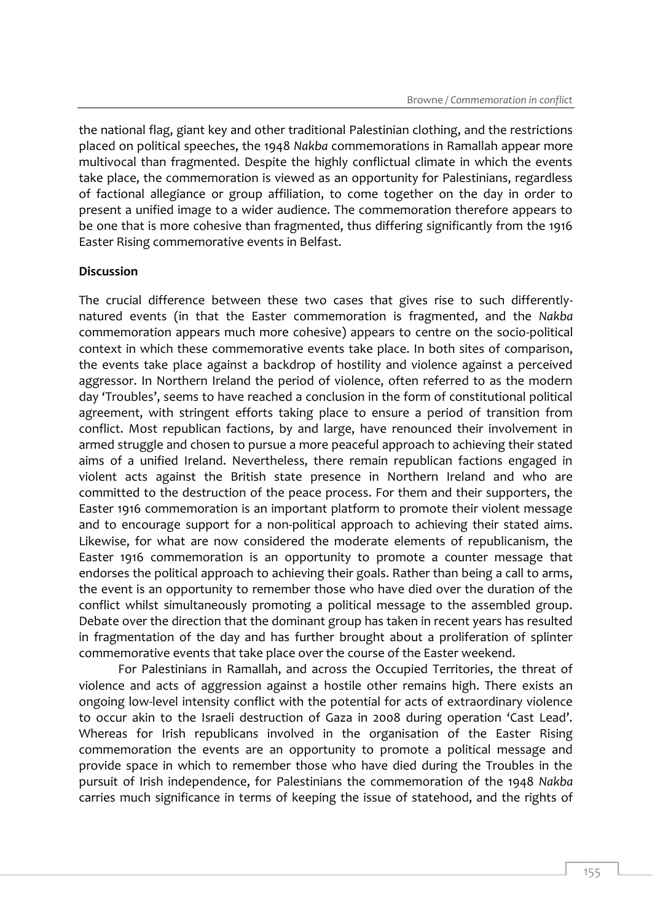the national flag, giant key and other traditional Palestinian clothing, and the restrictions placed on political speeches, the 1948 *Nakba* commemorations in Ramallah appear more multivocal than fragmented. Despite the highly conflictual climate in which the events take place, the commemoration is viewed as an opportunity for Palestinians, regardless of factional allegiance or group affiliation, to come together on the day in order to present a unified image to a wider audience. The commemoration therefore appears to be one that is more cohesive than fragmented, thus differing significantly from the 1916 Easter Rising commemorative events in Belfast.

#### **Discussion**

The crucial difference between these two cases that gives rise to such differentlynatured events (in that the Easter commemoration is fragmented, and the *Nakba*  commemoration appears much more cohesive) appears to centre on the socio-political context in which these commemorative events take place. In both sites of comparison, the events take place against a backdrop of hostility and violence against a perceived aggressor. In Northern Ireland the period of violence, often referred to as the modern day 'Troubles', seems to have reached a conclusion in the form of constitutional political agreement, with stringent efforts taking place to ensure a period of transition from conflict. Most republican factions, by and large, have renounced their involvement in armed struggle and chosen to pursue a more peaceful approach to achieving their stated aims of a unified Ireland. Nevertheless, there remain republican factions engaged in violent acts against the British state presence in Northern Ireland and who are committed to the destruction of the peace process. For them and their supporters, the Easter 1916 commemoration is an important platform to promote their violent message and to encourage support for a non-political approach to achieving their stated aims. Likewise, for what are now considered the moderate elements of republicanism, the Easter 1916 commemoration is an opportunity to promote a counter message that endorses the political approach to achieving their goals. Rather than being a call to arms, the event is an opportunity to remember those who have died over the duration of the conflict whilst simultaneously promoting a political message to the assembled group. Debate over the direction that the dominant group has taken in recent years has resulted in fragmentation of the day and has further brought about a proliferation of splinter commemorative events that take place over the course of the Easter weekend.

For Palestinians in Ramallah, and across the Occupied Territories, the threat of violence and acts of aggression against a hostile other remains high. There exists an ongoing low-level intensity conflict with the potential for acts of extraordinary violence to occur akin to the Israeli destruction of Gaza in 2008 during operation 'Cast Lead'. Whereas for Irish republicans involved in the organisation of the Easter Rising commemoration the events are an opportunity to promote a political message and provide space in which to remember those who have died during the Troubles in the pursuit of Irish independence, for Palestinians the commemoration of the 1948 *Nakba*  carries much significance in terms of keeping the issue of statehood, and the rights of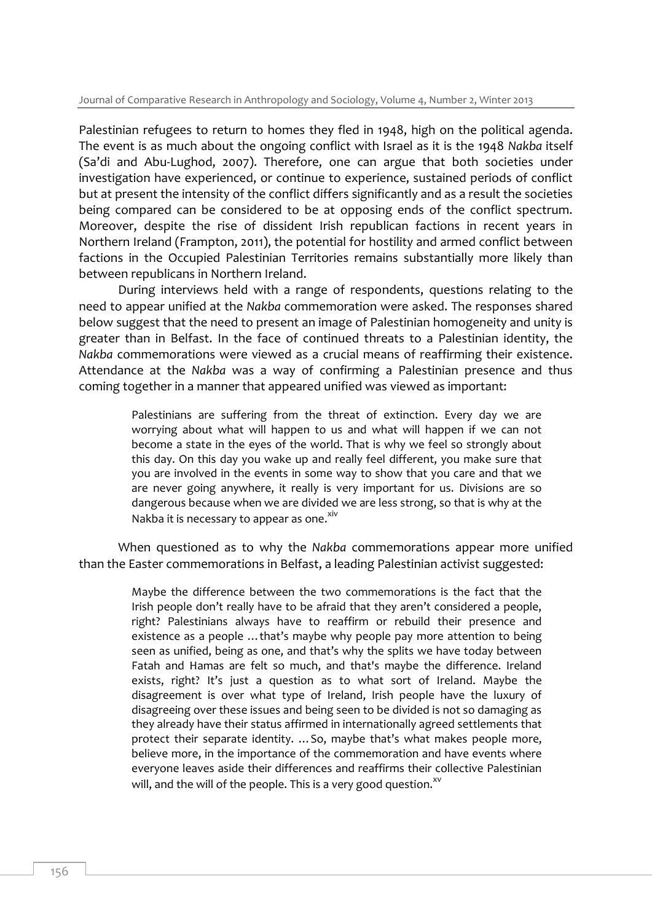Palestinian refugees to return to homes they fled in 1948, high on the political agenda. The event is as much about the ongoing conflict with Israel as it is the 1948 *Nakba* itself (Sa'di and Abu-Lughod, 2007). Therefore, one can argue that both societies under investigation have experienced, or continue to experience, sustained periods of conflict but at present the intensity of the conflict differs significantly and as a result the societies being compared can be considered to be at opposing ends of the conflict spectrum. Moreover, despite the rise of dissident Irish republican factions in recent years in Northern Ireland (Frampton, 2011), the potential for hostility and armed conflict between factions in the Occupied Palestinian Territories remains substantially more likely than between republicans in Northern Ireland.

During interviews held with a range of respondents, questions relating to the need to appear unified at the *Nakba* commemoration were asked. The responses shared below suggest that the need to present an image of Palestinian homogeneity and unity is greater than in Belfast. In the face of continued threats to a Palestinian identity, the *Nakba* commemorations were viewed as a crucial means of reaffirming their existence. Attendance at the *Nakba* was a way of confirming a Palestinian presence and thus coming together in a manner that appeared unified was viewed as important:

> Palestinians are suffering from the threat of extinction. Every day we are worrying about what will happen to us and what will happen if we can not become a state in the eyes of the world. That is why we feel so strongly about this day. On this day you wake up and really feel different, you make sure that you are involved in the events in some way to show that you care and that we are never going anywhere, it really is very important for us. Divisions are so dangerous because when we are divided we are less strong, so that is why at the Nakba it is necessary to appear as one.<sup>xiv</sup>

When questioned as to why the *Nakba* commemorations appear more unified than the Easter commemorations in Belfast, a leading Palestinian activist suggested:

> Maybe the difference between the two commemorations is the fact that the Irish people don't really have to be afraid that they aren't considered a people, right? Palestinians always have to reaffirm or rebuild their presence and existence as a people …that's maybe why people pay more attention to being seen as unified, being as one, and that's why the splits we have today between Fatah and Hamas are felt so much, and that's maybe the difference. Ireland exists, right? It's just a question as to what sort of Ireland. Maybe the disagreement is over what type of Ireland, Irish people have the luxury of disagreeing over these issues and being seen to be divided is not so damaging as they already have their status affirmed in internationally agreed settlements that protect their separate identity. …So, maybe that's what makes people more, believe more, in the importance of the commemoration and have events where everyone leaves aside their differences and reaffirms their collective Palestinian will, and the will of the people. This is a very good question. $x^v$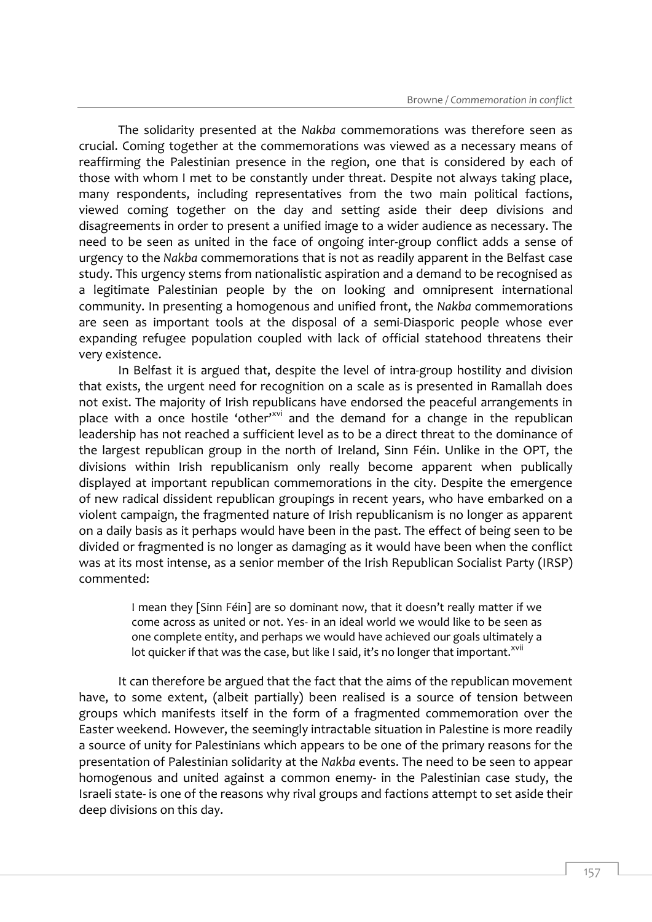The solidarity presented at the *Nakba* commemorations was therefore seen as crucial. Coming together at the commemorations was viewed as a necessary means of reaffirming the Palestinian presence in the region, one that is considered by each of those with whom I met to be constantly under threat. Despite not always taking place, many respondents, including representatives from the two main political factions, viewed coming together on the day and setting aside their deep divisions and disagreements in order to present a unified image to a wider audience as necessary. The need to be seen as united in the face of ongoing inter-group conflict adds a sense of urgency to the *Nakba* commemorations that is not as readily apparent in the Belfast case study. This urgency stems from nationalistic aspiration and a demand to be recognised as a legitimate Palestinian people by the on looking and omnipresent international community. In presenting a homogenous and unified front, the *Nakba* commemorations are seen as important tools at the disposal of a semi-Diasporic people whose ever expanding refugee population coupled with lack of official statehood threatens their very existence.

In Belfast it is argued that, despite the level of intra-group hostility and division that exists, the urgent need for recognition on a scale as is presented in Ramallah does not exist. The majority of Irish republicans have endorsed the peaceful arrangements in place with a once hostile 'other'<sup>xvi</sup> and the demand for a change in the republican leadership has not reached a sufficient level as to be a direct threat to the dominance of the largest republican group in the north of Ireland, Sinn Féin. Unlike in the OPT, the divisions within Irish republicanism only really become apparent when publically displayed at important republican commemorations in the city. Despite the emergence of new radical dissident republican groupings in recent years, who have embarked on a violent campaign, the fragmented nature of Irish republicanism is no longer as apparent on a daily basis as it perhaps would have been in the past. The effect of being seen to be divided or fragmented is no longer as damaging as it would have been when the conflict was at its most intense, as a senior member of the Irish Republican Socialist Party (IRSP) commented:

> I mean they [Sinn Féin] are so dominant now, that it doesn't really matter if we come across as united or not. Yes- in an ideal world we would like to be seen as one complete entity, and perhaps we would have achieved our goals ultimately a lot quicker if that was the case, but like I said, it's no longer that important.<sup>xvii</sup>

It can therefore be argued that the fact that the aims of the republican movement have, to some extent, (albeit partially) been realised is a source of tension between groups which manifests itself in the form of a fragmented commemoration over the Easter weekend. However, the seemingly intractable situation in Palestine is more readily a source of unity for Palestinians which appears to be one of the primary reasons for the presentation of Palestinian solidarity at the *Nakba* events. The need to be seen to appear homogenous and united against a common enemy- in the Palestinian case study, the Israeli state- is one of the reasons why rival groups and factions attempt to set aside their deep divisions on this day.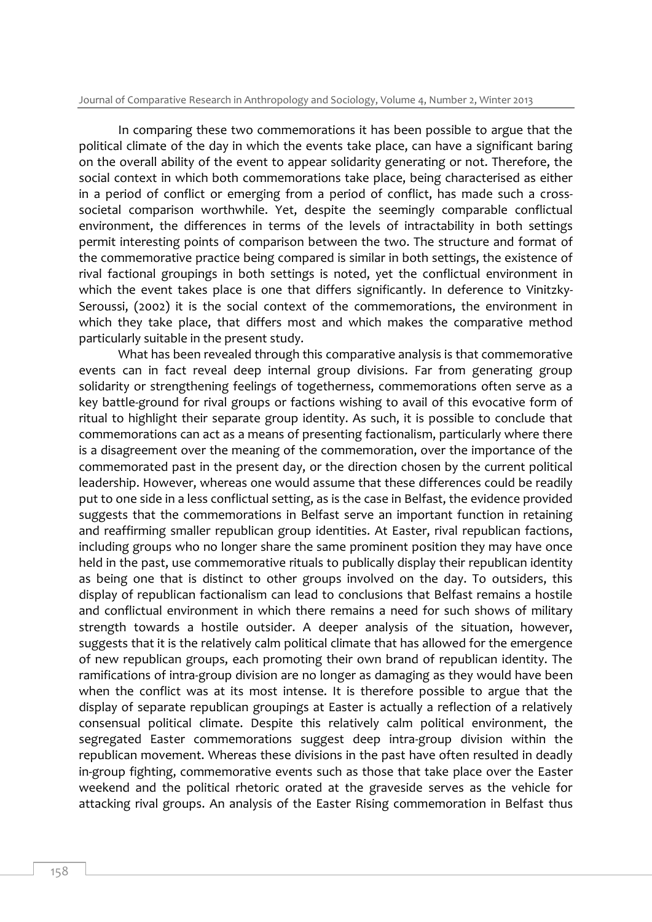In comparing these two commemorations it has been possible to argue that the political climate of the day in which the events take place, can have a significant baring on the overall ability of the event to appear solidarity generating or not. Therefore, the social context in which both commemorations take place, being characterised as either in a period of conflict or emerging from a period of conflict, has made such a crosssocietal comparison worthwhile. Yet, despite the seemingly comparable conflictual environment, the differences in terms of the levels of intractability in both settings permit interesting points of comparison between the two. The structure and format of the commemorative practice being compared is similar in both settings, the existence of rival factional groupings in both settings is noted, yet the conflictual environment in which the event takes place is one that differs significantly. In deference to Vinitzky-Seroussi, (2002) it is the social context of the commemorations, the environment in which they take place, that differs most and which makes the comparative method particularly suitable in the present study.

What has been revealed through this comparative analysis is that commemorative events can in fact reveal deep internal group divisions. Far from generating group solidarity or strengthening feelings of togetherness, commemorations often serve as a key battle-ground for rival groups or factions wishing to avail of this evocative form of ritual to highlight their separate group identity. As such, it is possible to conclude that commemorations can act as a means of presenting factionalism, particularly where there is a disagreement over the meaning of the commemoration, over the importance of the commemorated past in the present day, or the direction chosen by the current political leadership. However, whereas one would assume that these differences could be readily put to one side in a less conflictual setting, as is the case in Belfast, the evidence provided suggests that the commemorations in Belfast serve an important function in retaining and reaffirming smaller republican group identities. At Easter, rival republican factions, including groups who no longer share the same prominent position they may have once held in the past, use commemorative rituals to publically display their republican identity as being one that is distinct to other groups involved on the day. To outsiders, this display of republican factionalism can lead to conclusions that Belfast remains a hostile and conflictual environment in which there remains a need for such shows of military strength towards a hostile outsider. A deeper analysis of the situation, however, suggests that it is the relatively calm political climate that has allowed for the emergence of new republican groups, each promoting their own brand of republican identity. The ramifications of intra-group division are no longer as damaging as they would have been when the conflict was at its most intense. It is therefore possible to argue that the display of separate republican groupings at Easter is actually a reflection of a relatively consensual political climate. Despite this relatively calm political environment, the segregated Easter commemorations suggest deep intra-group division within the republican movement. Whereas these divisions in the past have often resulted in deadly in-group fighting, commemorative events such as those that take place over the Easter weekend and the political rhetoric orated at the graveside serves as the vehicle for attacking rival groups. An analysis of the Easter Rising commemoration in Belfast thus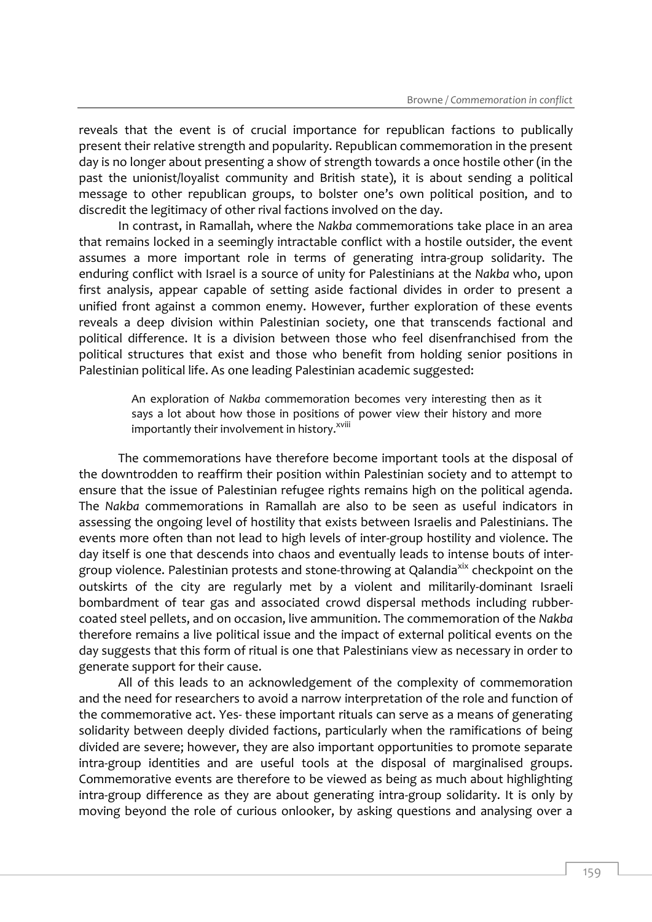reveals that the event is of crucial importance for republican factions to publically present their relative strength and popularity. Republican commemoration in the present day is no longer about presenting a show of strength towards a once hostile other (in the past the unionist/loyalist community and British state), it is about sending a political message to other republican groups, to bolster one's own political position, and to discredit the legitimacy of other rival factions involved on the day.

In contrast, in Ramallah, where the *Nakba* commemorations take place in an area that remains locked in a seemingly intractable conflict with a hostile outsider, the event assumes a more important role in terms of generating intra-group solidarity. The enduring conflict with Israel is a source of unity for Palestinians at the *Nakba* who, upon first analysis, appear capable of setting aside factional divides in order to present a unified front against a common enemy. However, further exploration of these events reveals a deep division within Palestinian society, one that transcends factional and political difference. It is a division between those who feel disenfranchised from the political structures that exist and those who benefit from holding senior positions in Palestinian political life. As one leading Palestinian academic suggested:

> An exploration of *Nakba* commemoration becomes very interesting then as it says a lot about how those in positions of power view their history and more importantly their involvement in history.<sup>xviii</sup>

The commemorations have therefore become important tools at the disposal of the downtrodden to reaffirm their position within Palestinian society and to attempt to ensure that the issue of Palestinian refugee rights remains high on the political agenda. The *Nakba* commemorations in Ramallah are also to be seen as useful indicators in assessing the ongoing level of hostility that exists between Israelis and Palestinians. The events more often than not lead to high levels of inter-group hostility and violence. The day itself is one that descends into chaos and eventually leads to intense bouts of intergroup violence. Palestinian protests and stone-throwing at Qalandia<sup>xix</sup> checkpoint on the outskirts of the city are regularly met by a violent and militarily-dominant Israeli bombardment of tear gas and associated crowd dispersal methods including rubbercoated steel pellets, and on occasion, live ammunition. The commemoration of the *Nakba*  therefore remains a live political issue and the impact of external political events on the day suggests that this form of ritual is one that Palestinians view as necessary in order to generate support for their cause.

All of this leads to an acknowledgement of the complexity of commemoration and the need for researchers to avoid a narrow interpretation of the role and function of the commemorative act. Yes- these important rituals can serve as a means of generating solidarity between deeply divided factions, particularly when the ramifications of being divided are severe; however, they are also important opportunities to promote separate intra-group identities and are useful tools at the disposal of marginalised groups. Commemorative events are therefore to be viewed as being as much about highlighting intra-group difference as they are about generating intra-group solidarity. It is only by moving beyond the role of curious onlooker, by asking questions and analysing over a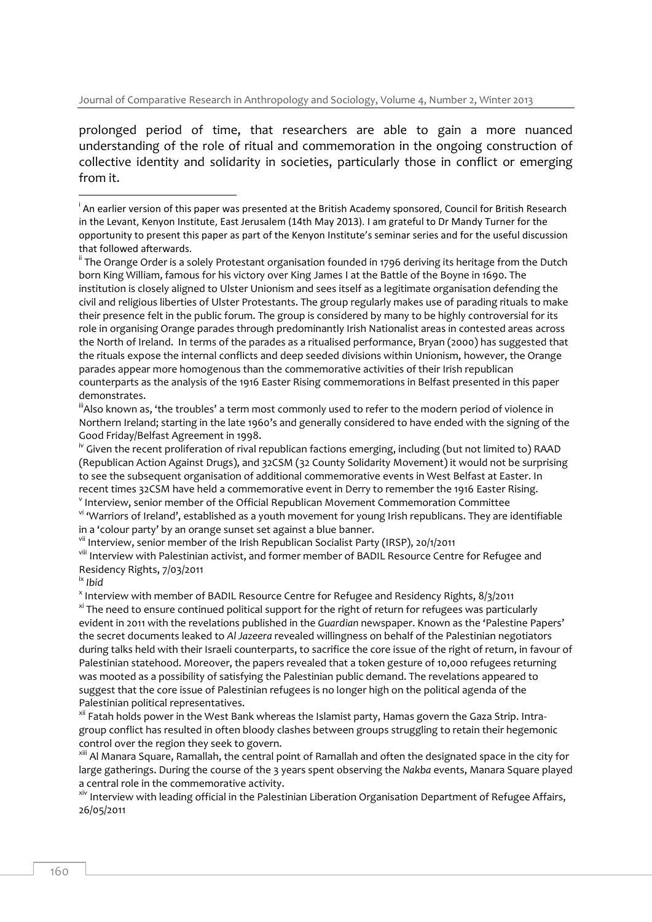prolonged period of time, that researchers are able to gain a more nuanced understanding of the role of ritual and commemoration in the ongoing construction of collective identity and solidarity in societies, particularly those in conflict or emerging from it.

"Also known as, 'the troubles' a term most commonly used to refer to the modern period of violence in Northern Ireland; starting in the late 1960's and generally considered to have ended with the signing of the Good Friday/Belfast Agreement in 1998.

<sup>iv</sup> Given the recent proliferation of rival republican factions emerging, including (but not limited to) RAAD (Republican Action Against Drugs), and 32CSM (32 County Solidarity Movement) it would not be surprising to see the subsequent organisation of additional commemorative events in West Belfast at Easter. In recent times 32CSM have held a commemorative event in Derry to remember the 1916 Easter Rising.

 $^{\text{v}}$  Interview, senior member of the Official Republican Movement Commemoration Committee vi 'Warriors of Ireland', established as a youth movement for young Irish republicans. They are identifiable in a 'colour party' by an orange sunset set against a blue banner.

<sup>vii</sup> Interview, senior member of the Irish Republican Socialist Party (IRSP), 20/1/2011

viii Interview with Palestinian activist, and former member of BADIL Resource Centre for Refugee and Residency Rights, 7/03/2011

ix *Ibid*

x Interview with member of BADIL Resource Centre for Refugee and Residency Rights, 8/3/2011 <sup>xi</sup> The need to ensure continued political support for the right of return for refugees was particularly evident in 2011 with the revelations published in the *Guardian* newspaper. Known as the 'Palestine Papers' the secret documents leaked to *Al Jazeera* revealed willingness on behalf of the Palestinian negotiators during talks held with their Israeli counterparts, to sacrifice the core issue of the right of return, in favour of Palestinian statehood. Moreover, the papers revealed that a token gesture of 10,000 refugees returning was mooted as a possibility of satisfying the Palestinian public demand. The revelations appeared to suggest that the core issue of Palestinian refugees is no longer high on the political agenda of the Palestinian political representatives.

<sup>xii</sup> Fatah holds power in the West Bank whereas the Islamist party, Hamas govern the Gaza Strip. Intragroup conflict has resulted in often bloody clashes between groups struggling to retain their hegemonic control over the region they seek to govern.

xiii Al Manara Square, Ramallah, the central point of Ramallah and often the designated space in the city for large gatherings. During the course of the 3 years spent observing the *Nakba* events, Manara Square played a central role in the commemorative activity.

<sup>xiv</sup> Interview with leading official in the Palestinian Liberation Organisation Department of Refugee Affairs, 26/05/2011

 $\overline{a}$ i An earlier version of this paper was presented at the British Academy sponsored, Council for British Research in the Levant, Kenyon Institute, East Jerusalem (14th May 2013). I am grateful to Dr Mandy Turner for the opportunity to present this paper as part of the Kenyon Institute's seminar series and for the useful discussion that followed afterwards.

<sup>&</sup>lt;sup>ii</sup> The Orange Order is a solely Protestant organisation founded in 1796 deriving its heritage from the Dutch born King William, famous for his victory over King James I at the Battle of the Boyne in 1690. The institution is closely aligned to Ulster Unionism and sees itself as a legitimate organisation defending the civil and religious liberties of Ulster Protestants. The group regularly makes use of parading rituals to make their presence felt in the public forum. The group is considered by many to be highly controversial for its role in organising Orange parades through predominantly Irish Nationalist areas in contested areas across the North of Ireland. In terms of the parades as a ritualised performance, Bryan (2000) has suggested that the rituals expose the internal conflicts and deep seeded divisions within Unionism, however, the Orange parades appear more homogenous than the commemorative activities of their Irish republican counterparts as the analysis of the 1916 Easter Rising commemorations in Belfast presented in this paper demonstrates.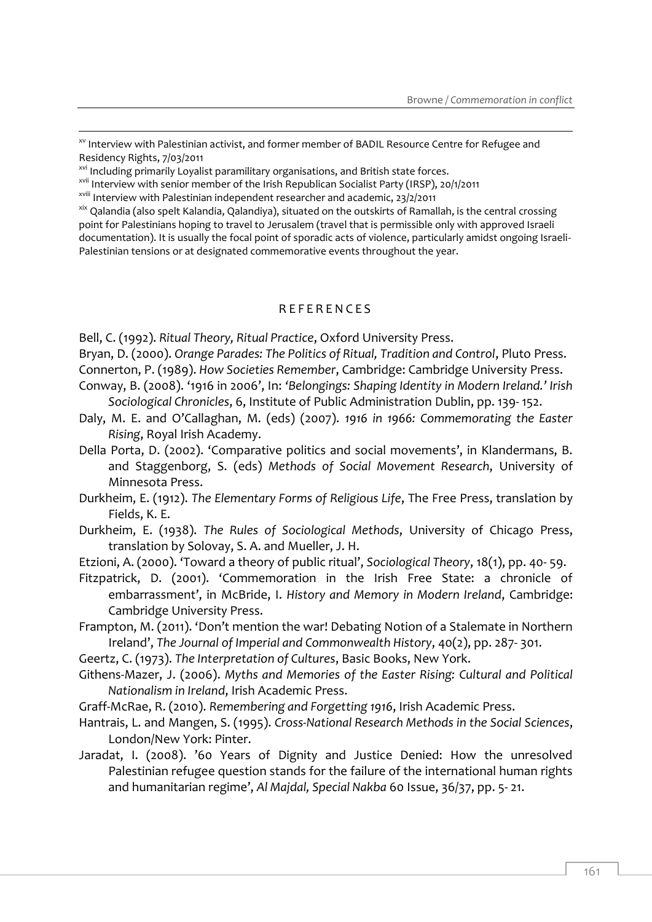- $\mathrm{^{xx}}$  Interview with Palestinian activist, and former member of BADIL Resource Centre for Refugee and Residency Rights, 7/03/2011

xvi Including primarily Loyalist paramilitary organisations, and British state forces.

xvii Interview with senior member of the Irish Republican Socialist Party (IRSP), 20/1/2011

xviii Interview with Palestinian independent researcher and academic, 23/2/2011

<sup>xix</sup> Qalandia (also spelt Kalandia, Qalandiya), situated on the outskirts of Ramallah, is the central crossing point for Palestinians hoping to travel to Jerusalem (travel that is permissible only with approved Israeli documentation). It is usually the focal point of sporadic acts of violence, particularly amidst ongoing Israeli-Palestinian tensions or at designated commemorative events throughout the year.

#### R E F E R E N C E S

Bell, C. (1992). *Ritual Theory, Ritual Practice*, Oxford University Press.

Bryan, D. (2000). *Orange Parades: The Politics of Ritual, Tradition and Control*, Pluto Press. Connerton, P. (1989). *How Societies Remember*, Cambridge: Cambridge University Press.

- Conway, B. (2008). '1916 in 2006', In: *'Belongings: Shaping Identity in Modern Ireland.' Irish Sociological Chronicles*, 6, Institute of Public Administration Dublin, pp. 139- 152.
- Daly, M. E. and O'Callaghan, M. (eds) (2007). *1916 in 1966: Commemorating the Easter Rising*, Royal Irish Academy.

Della Porta, D. (2002). 'Comparative politics and social movements', in Klandermans, B. and Staggenborg, S. (eds) *Methods of Social Movement Research*, University of Minnesota Press.

- Durkheim, E. (1912). *The Elementary Forms of Religious Life*, The Free Press, translation by Fields, K. E.
- Durkheim, E. (1938). *The Rules of Sociological Methods*, University of Chicago Press, translation by Solovay, S. A. and Mueller, J. H.
- Etzioni, A. (2000). 'Toward a theory of public ritual', *Sociological Theory*, 18(1), pp. 40- 59.
- Fitzpatrick, D. (2001). 'Commemoration in the Irish Free State: a chronicle of embarrassment', in McBride, I. *History and Memory in Modern Ireland*, Cambridge: Cambridge University Press.
- Frampton, M. (2011). 'Don't mention the war! Debating Notion of a Stalemate in Northern Ireland', *The Journal of Imperial and Commonwealth History*, 40(2), pp. 287- 301.

Geertz, C. (1973). *The Interpretation of Cultures*, Basic Books, New York.

Githens-Mazer, J. (2006). *Myths and Memories of the Easter Rising: Cultural and Political Nationalism in Ireland*, Irish Academic Press.

Graff-McRae, R. (2010). *Remembering and Forgetting 1916*, Irish Academic Press.

- Hantrais, L. and Mangen, S. (1995). *Cross-National Research Methods in the Social Sciences*, London/New York: Pinter.
- Jaradat, I. (2008). '60 Years of Dignity and Justice Denied: How the unresolved Palestinian refugee question stands for the failure of the international human rights and humanitarian regime', *Al Majdal, Special Nakba* 60 Issue, 36/37, pp. 5- 21.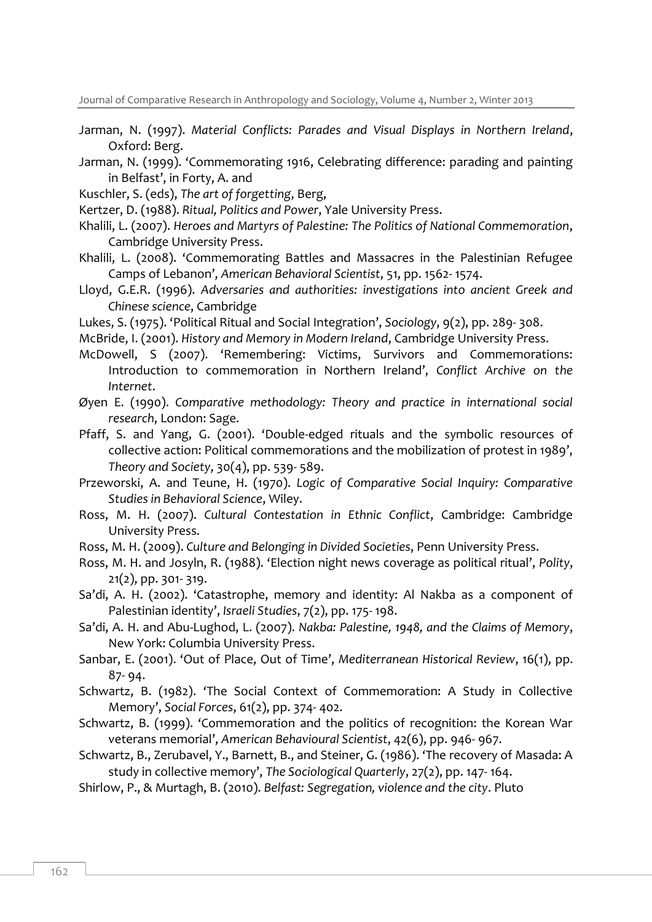Journal of Comparative Research in Anthropology and Sociology, Volume 4, Number 2, Winter 2013

- Jarman, N. (1997). *Material Conflicts: Parades and Visual Displays in Northern Ireland*, Oxford: Berg.
- Jarman, N. (1999). 'Commemorating 1916, Celebrating difference: parading and painting in Belfast', in Forty, A. and
- Kuschler, S. (eds), *The art of forgetting*, Berg,
- Kertzer, D. (1988). *Ritual, Politics and Power*, Yale University Press.
- Khalili, L. (2007). *Heroes and Martyrs of Palestine: The Politics of National Commemoration*, Cambridge University Press.
- Khalili, L. (2008). 'Commemorating Battles and Massacres in the Palestinian Refugee Camps of Lebanon', *American Behavioral Scientist*, 51, pp. 1562- 1574.
- Lloyd, G.E.R. (1996). *Adversaries and authorities: investigations into ancient Greek and Chinese science*, Cambridge
- Lukes, S. (1975). 'Political Ritual and Social Integration', *Sociology*, 9(2), pp. 289- 308.
- McBride, I. (2001). *History and Memory in Modern Ireland*, Cambridge University Press.
- McDowell, S (2007). 'Remembering: Victims, Survivors and Commemorations: Introduction to commemoration in Northern Ireland', *Conflict Archive on the Internet*.
- Øyen E. (1990). *Comparative methodology: Theory and practice in international social research*, London: Sage.
- Pfaff, S. and Yang, G. (2001). 'Double-edged rituals and the symbolic resources of collective action: Political commemorations and the mobilization of protest in 1989', *Theory and Society*, 30(4), pp. 539- 589.
- Przeworski, A. and Teune, H. (1970). *Logic of Comparative Social Inquiry: Comparative Studies in Behavioral Science*, Wiley.
- Ross, M. H. (2007). *Cultural Contestation in Ethnic Conflict*, Cambridge: Cambridge University Press.
- Ross, M. H. (2009). *Culture and Belonging in Divided Societies*, Penn University Press.
- Ross, M. H. and Josyln, R. (1988). 'Election night news coverage as political ritual', *Polity*, 21(2), pp. 301- 319.
- Sa'di, A. H. (2002). 'Catastrophe, memory and identity: Al Nakba as a component of Palestinian identity', *Israeli Studies*, 7(2), pp. 175- 198.
- Sa'di, A. H. and Abu-Lughod, L. (2007). *Nakba: Palestine, 1948, and the Claims of Memory*, New York: Columbia University Press.
- Sanbar, E. (2001). 'Out of Place, Out of Time', *Mediterranean Historical Review*, 16(1), pp. 87- 94.
- Schwartz, B. (1982). 'The Social Context of Commemoration: A Study in Collective Memory', *Social Forces*, 61(2), pp. 374- 402.
- Schwartz, B. (1999). 'Commemoration and the politics of recognition: the Korean War veterans memorial', *American Behavioural Scientist*, 42(6), pp. 946- 967.
- Schwartz, B., Zerubavel, Y., Barnett, B., and Steiner, G. (1986). 'The recovery of Masada: A study in collective memory', *The Sociological Quarterly*, 27(2), pp. 147- 164.
- Shirlow, P., & Murtagh, B. (2010). *Belfast: Segregation, violence and the city*. Pluto